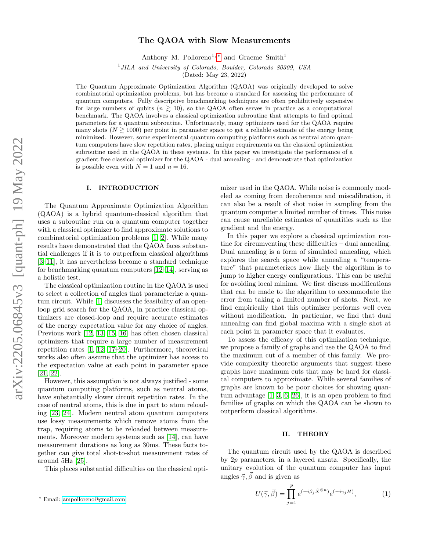# The QAOA with Slow Measurements

Anthony M. Polloreno<sup>1, [∗](#page-0-0)</sup> and Graeme Smith<sup>1</sup>

<sup>1</sup>JILA and University of Colorado, Boulder, Colorado 80309, USA

(Dated: May 23, 2022)

The Quantum Approximate Optimization Algorithm (QAOA) was originally developed to solve combinatorial optimization problems, but has become a standard for assessing the performance of quantum computers. Fully descriptive benchmarking techniques are often prohibitively expensive for large numbers of qubits  $(n \geq 10)$ , so the QAOA often serves in practice as a computational benchmark. The QAOA involves a classical optimization subroutine that attempts to find optimal parameters for a quantum subroutine. Unfortunately, many optimizers used for the QAOA require many shots ( $N \ge 1000$ ) per point in parameter space to get a reliable estimate of the energy being minimized. However, some experimental quantum computing platforms such as neutral atom quantum computers have slow repetition rates, placing unique requirements on the classical optimization subroutine used in the QAOA in these systems. In this paper we investigate the performance of a gradient free classical optimizer for the QAOA - dual annealing - and demonstrate that optimization is possible even with  $N = 1$  and  $n = 16$ .

## I. INTRODUCTION

The Quantum Approximate Optimization Algorithm (QAOA) is a hybrid quantum-classical algorithm that uses a subroutine run on a quantum computer together with a classical optimizer to find approximate solutions to combinatorial optimization problems [\[1,](#page-4-0) [2\]](#page-4-1). While many results have demonstrated that the QAOA faces substantial challenges if it is to outperform classical algorithms [\[3–](#page-4-2)[11\]](#page-4-3), it has nevertheless become a standard technique for benchmarking quantum computers [\[12–](#page-4-4)[14\]](#page-4-5), serving as a holistic test.

The classical optimization routine in the QAOA is used to select a collection of angles that parameterize a quantum circuit. While [\[1\]](#page-4-0) discusses the feasibility of an openloop grid search for the QAOA, in practice classical optimizers are closed-loop and require accurate estimates of the energy expectation value for any choice of angles. Previous work [\[12,](#page-4-4) [13,](#page-4-6) [15,](#page-4-7) [16\]](#page-4-8) has often chosen classical optimizers that require a large number of measurement repetition rates [\[1,](#page-4-0) [12,](#page-4-4) [17–](#page-4-9)[20\]](#page-4-10). Furthermore, theoretical works also often assume that the optimizer has access to the expectation value at each point in parameter space [\[21,](#page-4-11) [22\]](#page-4-12).

However, this assumption is not always justified - some quantum computing platforms, such as neutral atoms, have substantially slower circuit repetition rates. In the case of neutral atoms, this is due in part to atom reloading [\[23,](#page-4-13) [24\]](#page-5-0). Modern neutral atom quantum computers use lossy measurements which remove atoms from the trap, requiring atoms to be reloaded between measurements. Moreover modern systems such as [\[14\]](#page-4-5), can have measurement durations as long as 30ms. These facts together can give total shot-to-shot measurement rates of around 5Hz [\[25\]](#page-5-1).

This places substantial difficulties on the classical opti-

mizer used in the QAOA. While noise is commonly modeled as coming from decoherence and miscalibration, it can also be a result of shot noise in sampling from the quantum computer a limited number of times. This noise can cause unreliable estimates of quantities such as the gradient and the energy.

In this paper we explore a classical optimization routine for circumventing these difficulties – dual annealing. Dual annealing is a form of simulated annealing, which explores the search space while annealing a "temperature" that parameterizes how likely the algorithm is to jump to higher energy configurations. This can be useful for avoiding local minima. We first discuss modifications that can be made to the algorithm to accommodate the error from taking a limited number of shots. Next, we find empirically that this optimizer performs well even without modification. In particular, we find that dual annealing can find global maxima with a single shot at each point in parameter space that it evaluates.

To assess the efficacy of this optimization technique, we propose a family of graphs and use the QAOA to find the maximum cut of a member of this family. We provide complexity theoretic arguments that suggest these graphs have maximum cuts that may be hard for classical computers to approximate. While several families of graphs are known to be poor choices for showing quantum advantage [\[1,](#page-4-0) [3,](#page-4-2) [6,](#page-4-14) [26\]](#page-5-2), it is an open problem to find families of graphs on which the QAOA can be shown to outperform classical algorithms.

### <span id="page-0-2"></span>II. THEORY

The quantum circuit used by the QAOA is described by 2p parameters, in a layered ansatz. Specifically, the unitary evolution of the quantum computer has input angles  $\vec{\gamma}, \vec{\beta}$  and is given as

<span id="page-0-1"></span>
$$
U(\vec{\gamma}, \vec{\beta}) = \prod_{j=1}^{p} e^{(-i\beta_j \hat{X}^{\otimes n})} e^{(-i\gamma_j H)}, \qquad (1)
$$

<span id="page-0-0"></span><sup>∗</sup> Email: [ampolloreno@gmail.com](mailto:ampolloreno@gmail.com)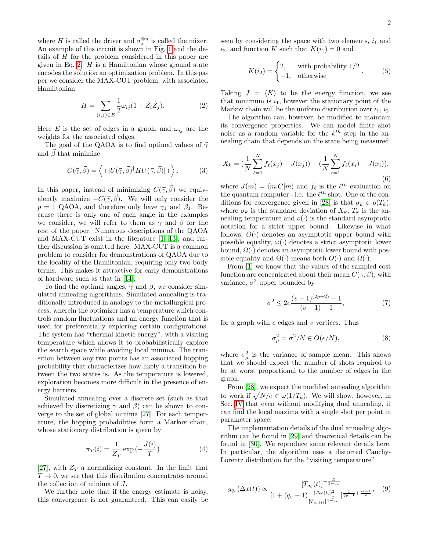where H is called the driver and  $\sigma_x^{\otimes n}$  is called the mixer. An example of this circuit is shown in Fig. [1](#page-2-0) and the details of H for the problem considered in this paper are given in Eq. [2.](#page-1-0)  $H$  is a Hamiltonian whose ground state encodes the solution an optimization problem. In this paper we consider the MAX-CUT problem, with associated Hamiltonian

<span id="page-1-0"></span>
$$
H = \sum_{(i,j)\in E} \frac{1}{2}\omega_{ij}(1+\hat{Z}_i\hat{Z}_j).
$$
 (2)

Here E is the set of edges in a graph, and  $\omega_{ij}$  are the weights for the associated edges.

The goal of the QAOA is to find optimal values of  $\vec{\gamma}$ and  $\vec{\beta}$  that minimize

<span id="page-1-1"></span>
$$
C(\vec{\gamma}, \vec{\beta}) = \left\langle + |U(\vec{\gamma}, \vec{\beta})^{\dagger} H U(\vec{\gamma}, \vec{\beta})| + \right\rangle. \tag{3}
$$

In this paper, instead of minimizing  $C(\vec{\gamma}, \vec{\beta})$  we equivalently maximize  $-C(\vec{\gamma}, \vec{\beta})$ . We will only consider the  $p = 1$  QAOA, and therefore only have  $\gamma_1$  and  $\beta_1$ . Because there is only one of each angle in the examples we consider, we will refer to them as  $\gamma$  and  $\beta$  for the rest of the paper. Numerous descriptions of the QAOA and MAX-CUT exist in the literature [\[1,](#page-4-0) [13\]](#page-4-6), and further discussion is omitted here. MAX-CUT is a common problem to consider for demonstrations of QAOA due to the locality of the Hamiltonian, requiring only two-body terms. This makes it attractive for early demonstrations of hardware such as that in [\[14\]](#page-4-5).

To find the optimal angles,  $\gamma$  and  $\beta$ , we consider simulated annealing algorithms. Simulated annealing is traditionally introduced in analogy to the metallurgical process, wherein the optimizer has a temperature which controls random fluctuations and an energy function that is used for preferentially exploring certain configurations. The system has "thermal kinetic energy", with a visiting temperature which allows it to probabilistically explore the search space while avoiding local minima. The transition between any two points has an associated hopping probability that characterizes how likely a transition between the two states is. As the temperature is lowered, exploration becomes more difficult in the presence of energy barriers.

Simulated annealing over a discrete set (such as that achieved by discretizing  $\gamma$  and  $\beta$ ) can be shown to converge to the set of global minima [\[27\]](#page-5-3). For each temperature, the hopping probabilities form a Markov chain, whose stationary distribution is given by

$$
\pi_T(i) = \frac{1}{Z_T} \exp\left(-\frac{J(i)}{T}\right) \tag{4}
$$

[\[27\]](#page-5-3), with  $Z_T$  a normalizing constant. In the limit that  $T \rightarrow 0$ , we see that this distribution concentrates around the collection of minima of J.

We further note that if the energy estimate is noisy, this convergence is not guaranteed. This can easily be seen by considering the space with two elements,  $i_1$  and  $i_2$ , and function K such that  $K(i_1) = 0$  and

$$
K(i_2) = \begin{cases} 2, & \text{with probability } 1/2\\ -1, & \text{otherwise} \end{cases} \tag{5}
$$

Taking  $J = \langle K \rangle$  to be the energy function, we see that minimum is  $i_1$ , however the stationary point of the Markov chain will be the uniform distribution over  $i_1$ ,  $i_2$ .

The algorithm can, however, be modified to maintain its convergence properties. We can model finite shot noise as a random variable for the  $k^{th}$  step in the annealing chain that depends on the state being measured,

$$
X_k = \left(\frac{1}{N} \sum_{\ell=1}^N f_\ell(x_j) - J(x_j)\right) - \left(\frac{1}{N} \sum_{\ell=1}^N f_\ell(x_i) - J(x_i)\right),\tag{6}
$$

where  $J(m) = \langle m | C | m \rangle$  and  $f_{\ell}$  is the  $\ell^{th}$  evaluation on the quantum computer - i.e. the  $\ell^{th}$  shot. One of the con-ditions for convergence given in [\[28\]](#page-5-4) is that  $\sigma_k \in o(T_k)$ , where  $\sigma_k$  is the standard deviation of  $X_k$ ,  $T_k$  is the annealing temperature and  $o(\cdot)$  is the standard asymptotic notation for a strict upper bound. Likewise in what follows,  $O(\cdot)$  denotes an asymptotic upper bound with possible equality,  $\omega(\cdot)$  denotes a strict asymptotic lower bound,  $\Omega(\cdot)$  denotes an asymptotic lower bound with possible equality and  $\Theta(\cdot)$  means both  $O(\cdot)$  and  $\Omega(\cdot)$ .

From [\[1\]](#page-4-0) we know that the values of the sampled cost function are concentrated about their mean  $C(\gamma, \beta)$ , with variance,  $\sigma^2$  upper bounded by

$$
\sigma^2 \le 2e^{\frac{(v-1)^{(2p+2)}-1}{(v-1)-1}},\tag{7}
$$

for a graph with  $e$  edges and  $v$  vertices. Thus

$$
\sigma_{\hat{\mu}}^2 = \sigma^2/N \in O(e/N),\tag{8}
$$

where  $\sigma_{\hat{\mu}}^2$  is the variance of sample mean. This shows that we should expect the number of shots required to be at worst proportional to the number of edges in the graph.

From [\[28\]](#page-5-4), we expect the modified annealing algorithm to work if  $\sqrt{N/e} \in \omega(1/T_k)$ . We will show, however, in Sec. [IV](#page-2-1) that even without modifying dual annealing, it can find the local maxima with a single shot per point in parameter space.

The implementation details of the dual annealing algorithm can be found in [\[29\]](#page-5-5) and theoretical details can be found in [\[30\]](#page-5-6). We reproduce some relevant details here. In particular, the algorithm uses a distorted Cauchy-Lorentz distribution for the "visiting temperature"

$$
g_{q_v}(\Delta x(t)) \propto \frac{[T_{q_v}(t)]^{-\frac{D}{3-q_v}}}{[1 + (q_v - 1)\frac{(\Delta x(t))^2}{[T_{q_v(t)}]^{\frac{2}{3-q_v}}}]^{\frac{1}{q_v - 1} + \frac{D-1}{2}}}, \quad (9)
$$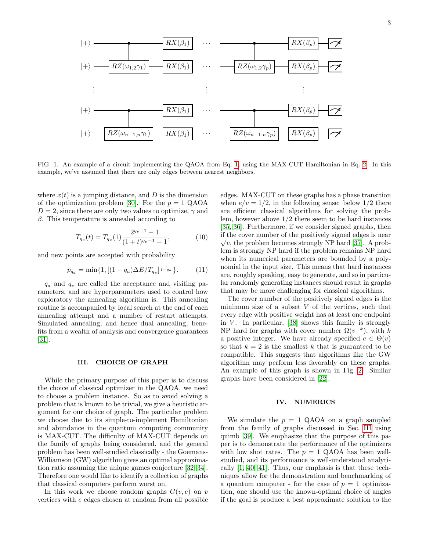

<span id="page-2-0"></span>FIG. 1. An example of a circuit implementing the QAOA from Eq. [1,](#page-0-1) using the MAX-CUT Hamiltonian in Eq. [2.](#page-1-0) In this example, we've assumed that there are only edges between nearest neighbors.

where  $x(t)$  is a jumping distance, and D is the dimension of the optimization problem [\[30\]](#page-5-6). For the  $p = 1$  QAOA  $D = 2$ , since there are only two values to optimize,  $\gamma$  and  $β$ . This temperature is annealed according to

$$
T_{q_v}(t) = T_{q_v}(1) \frac{2^{q_v - 1} - 1}{(1 + t)^{q_v - 1} - 1},
$$
\n(10)

and new points are accepted with probability

$$
p_{q_a} = \min\{1, \left[ (1 - q_a) \Delta E / T_{q_v} \right]^{\frac{1}{1 - q_a}} \}.
$$
 (11)

 $q_a$  and  $q_v$  are called the acceptance and visiting parameters, and are hyperparameters used to control how exploratory the annealing algorithm is. This annealing routine is accompanied by local search at the end of each annealing attempt and a number of restart attempts. Simulated annealing, and hence dual annealing, benefits from a wealth of analysis and convergence guarantees [\[31\]](#page-5-7).

#### <span id="page-2-2"></span>III. CHOICE OF GRAPH

While the primary purpose of this paper is to discuss the choice of classical optimizer in the QAOA, we need to choose a problem instance. So as to avoid solving a problem that is known to be trivial, we give a heuristic argument for our choice of graph. The particular problem we choose due to its simple-to-implement Hamiltonian and abundance in the quantum computing community is MAX-CUT. The difficulty of MAX-CUT depends on the family of graphs being considered, and the general problem has been well-studied classically - the Goemans-Williamson (GW) algorithm gives an optimal approximation ratio assuming the unique games conjecture [\[32–](#page-5-8)[34\]](#page-5-9). Therefore one would like to identify a collection of graphs that classical computers perform worst on.

In this work we choose random graphs  $G(v, e)$  on v vertices with e edges chosen at random from all possible edges. MAX-CUT on these graphs has a phase transition when  $e/v = 1/2$ , in the following sense: below  $1/2$  there are efficient classical algorithms for solving the problem, however above 1/2 there seem to be hard instances [\[35,](#page-5-10) [36\]](#page-5-11). Furthermore, if we consider signed graphs, then if the cover number of the positively signed edges is near  $\sqrt{v}$ , the problem becomes strongly NP hard [\[37\]](#page-5-12). A problem is strongly NP hard if the problem remains NP hard when its numerical parameters are bounded by a polynomial in the input size. This means that hard instances are, roughly speaking, easy to generate, and so in particular randomly generating instances should result in graphs that may be more challenging for classical algorithms.

The cover number of the positively signed edges is the minimum size of a subset  $V$  of the vertices, such that every edge with positive weight has at least one endpoint in  $V$ . In particular, [\[38\]](#page-5-13) shows this family is strongly NP hard for graphs with cover number  $\Omega(v^{-k})$ , with k a positive integer. We have already specified  $e \in \Theta(v)$ so that  $k = 2$  is the smallest k that is guaranteed to be compatible. This suggests that algorithms like the GW algorithm may perform less favorably on these graphs. An example of this graph is shown in Fig. [2.](#page-3-0) Similar graphs have been considered in [\[22\]](#page-4-12).

#### <span id="page-2-1"></span>IV. NUMERICS

We simulate the  $p = 1$  QAOA on a graph sampled from the family of graphs discussed in Sec. [III](#page-2-2) using quimb [\[39\]](#page-5-14). We emphasize that the purpose of this paper is to demonstrate the performance of the optimizers with low shot rates. The  $p = 1$  QAOA has been wellstudied, and its performance is well-understood analytically [\[1,](#page-4-0) [40,](#page-5-15) [41\]](#page-5-16). Thus, our emphasis is that these techniques allow for the demonstration and benchmarking of a quantum computer - for the case of  $p = 1$  optimization, one should use the known-optimal choice of angles if the goal is produce a best approximate solution to the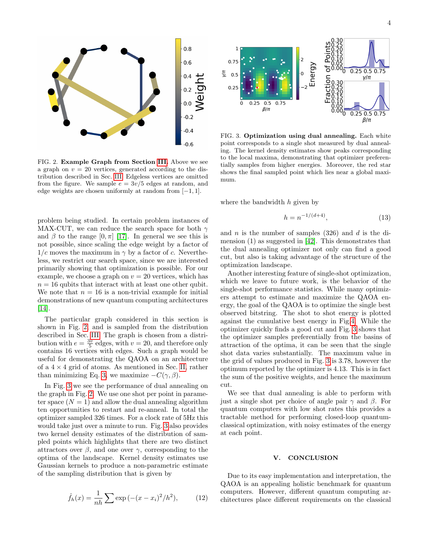

<span id="page-3-0"></span>FIG. 2. Example Graph from Section [III.](#page-2-2) Above we see a graph on  $v = 20$  vertices, generated according to the distribution described in Sec. [III.](#page-2-2) Edgeless vertices are omitted from the figure. We sample  $e = 3v/5$  edges at random, and edge weights are chosen uniformly at random from [−1, 1].

problem being studied. In certain problem instances of MAX-CUT, we can reduce the search space for both  $\gamma$ and  $\beta$  to the range  $[0, \pi]$  [\[17\]](#page-4-9). In general we see this is not possible, since scaling the edge weight by a factor of  $1/c$  moves the maximum in  $\gamma$  by a factor of c. Nevertheless, we restrict our search space, since we are interested primarily showing that optimization is possible. For our example, we choose a graph on  $v = 20$  vertices, which has  $n = 16$  qubits that interact with at least one other qubit. We note that  $n = 16$  is a non-trivial example for initial demonstrations of new quantum computing architectures [\[14\]](#page-4-5).

The particular graph considered in this section is shown in Fig. [2,](#page-3-0) and is sampled from the distribution described in Sec. [III.](#page-2-2) The graph is chosen from a distribution with  $e = \frac{3v}{5}$  edges, with  $v = 20$ , and therefore only contains 16 vertices with edges. Such a graph would be useful for demonstrating the QAOA on an architecture of a  $4 \times 4$  grid of atoms. As mentioned in Sec. [II,](#page-0-2) rather than minimizing Eq. [3,](#page-1-1) we maximize  $-C(\gamma, \beta)$ .

In Fig. [3](#page-3-1) we see the performance of dual annealing on the graph in Fig. [2.](#page-3-0) We use one shot per point in parameter space  $(N = 1)$  and allow the dual annealing algorithm ten opportunities to restart and re-anneal. In total the optimizer sampled 326 times. For a clock rate of 5Hz this would take just over a minute to run. Fig. [3](#page-3-1) also provides two kernel density estimates of the distribution of sampled points which highlights that there are two distinct attractors over  $\beta$ , and one over  $\gamma$ , corresponding to the optima of the landscape. Kernel density estimates use Gaussian kernels to produce a non-parametric estimate of the sampling distribution that is given by

$$
\hat{f}_h(x) = \frac{1}{nh} \sum \exp(-(x - x_i)^2/h^2), \quad (12)
$$



<span id="page-3-1"></span>FIG. 3. Optimization using dual annealing. Each white point corresponds to a single shot measured by dual annealing. The kernel density estimates show peaks corresponding to the local maxima, demonstrating that optimizer preferentially samples from higher energies. Moreover, the red star shows the final sampled point which lies near a global maximum.

where the bandwidth  $h$  given by

$$
h = n^{-1/(d+4)},\tag{13}
$$

and n is the number of samples  $(326)$  and d is the dimension (1) as suggested in [\[42\]](#page-5-17). This demonstrates that the dual annealing optimizer not only can find a good cut, but also is taking advantage of the structure of the optimization landscape.

Another interesting feature of single-shot optimization, which we leave to future work, is the behavior of the single-shot performance statistics. While many optimizers attempt to estimate and maximize the QAOA energy, the goal of the QAOA is to optimize the single best observed bitstring. The shot to shot energy is plotted against the cumulative best energy in Fig[.4.](#page-4-15) While the optimizer quickly finds a good cut and Fig. [3](#page-3-1) shows that the optimizer samples preferentially from the basins of attraction of the optima, it can be seen that the single shot data varies substantially. The maximum value in the grid of values produced in Fig. [3](#page-3-1) is 3.78, however the optimum reported by the optimizer is 4.13. This is in fact the sum of the positive weights, and hence the maximum cut.

We see that dual annealing is able to perform with just a single shot per choice of angle pair  $\gamma$  and  $\beta$ . For quantum computers with low shot rates this provides a tractable method for performing closed-loop quantumclassical optimization, with noisy estimates of the energy at each point.

#### V. CONCLUSION

Due to its easy implementation and interpretation, the QAOA is an appealing holistic benchmark for quantum computers. However, different quantum computing architectures place different requirements on the classical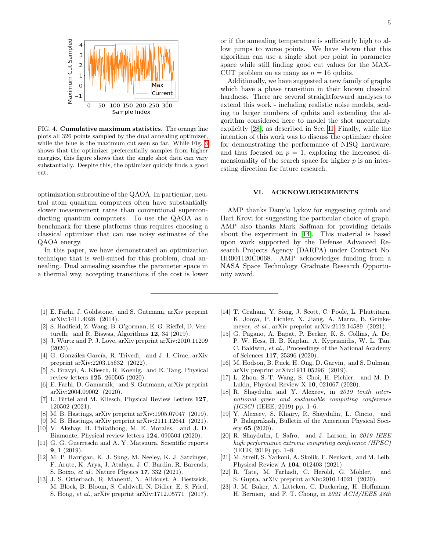

<span id="page-4-15"></span>FIG. 4. Cumulative maximum statistics. The orange line plots all 326 points sampled by the dual annealing optimizer, while the blue is the maximum cut seen so far. While Fig. [3](#page-3-1) shows that the optimizer preferentially samples from higher energies, this figure shows that the single shot data can vary substantially. Despite this, the optimizer quickly finds a good cut.

optimization subroutine of the QAOA. In particular, neutral atom quantum computers often have substantially slower measurement rates than conventional superconducting quantum computers. To use the QAOA as a benchmark for these platforms thus requires choosing a classical optimizer that can use noisy estimates of the QAOA energy.

In this paper, we have demonstrated an optimization technique that is well-suited for this problem, dual annealing. Dual annealing searches the parameter space in a thermal way, accepting transitions if the cost is lower

- <span id="page-4-0"></span>[1] E. Farhi, J. Goldstone, and S. Gutmann, arXiv preprint arXiv:1411.4028 (2014).
- <span id="page-4-1"></span>[2] S. Hadfield, Z. Wang, B. O'gorman, E. G. Rieffel, D. Venturelli, and R. Biswas, Algorithms 12, 34 (2019).
- <span id="page-4-2"></span>[3] J. Wurtz and P. J. Love, arXiv preprint arXiv:2010.11209 (2020).
- [4] G. González-García, R. Trivedi, and J. I. Cirac, arXiv preprint arXiv:2203.15632 (2022).
- [5] S. Bravyi, A. Kliesch, R. Koenig, and E. Tang, Physical review letters 125, 260505 (2020).
- <span id="page-4-14"></span>[6] E. Farhi, D. Gamarnik, and S. Gutmann, arXiv preprint arXiv:2004.09002 (2020).
- [7] L. Bittel and M. Kliesch, Physical Review Letters 127, 120502 (2021).
- [8] M. B. Hastings, arXiv preprint arXiv:1905.07047 (2019).
- [9] M. B. Hastings, arXiv preprint arXiv:2111.12641 (2021).
- [10] V. Akshay, H. Philathong, M. E. Morales, and J. D. Biamonte, Physical review letters 124, 090504 (2020).
- <span id="page-4-3"></span>[11] G. G. Guerreschi and A. Y. Matsuura, Scientific reports 9, 1 (2019).
- <span id="page-4-4"></span>[12] M. P. Harrigan, K. J. Sung, M. Neeley, K. J. Satzinger, F. Arute, K. Arya, J. Atalaya, J. C. Bardin, R. Barends, S. Boixo, et al., Nature Physics 17, 332 (2021).
- <span id="page-4-6"></span>[13] J. S. Otterbach, R. Manenti, N. Alidoust, A. Bestwick, M. Block, B. Bloom, S. Caldwell, N. Didier, E. S. Fried, S. Hong, et al., arXiv preprint arXiv:1712.05771 (2017).

or if the annealing temperature is sufficiently high to allow jumps to worse points. We have shown that this algorithm can use a single shot per point in parameter space while still finding good cut values for the MAX-CUT problem on as many as  $n = 16$  qubits.

Additionally, we have suggested a new family of graphs which have a phase transition in their known classical hardness. There are several straightforward analyses to extend this work - including realistic noise models, scaling to larger numbers of qubits and extending the algorithm considered here to model the shot uncertainty explicitly [\[28\]](#page-5-4), as described in Sec. [II.](#page-0-2) Finally, while the intention of this work was to discuss the optimizer choice for demonstrating the performance of NISQ hardware, and thus focused on  $p = 1$ , exploring the increased dimensionality of the search space for higher  $p$  is an interesting direction for future research.

#### VI. ACKNOWLEDGEMENTS

AMP thanks Danylo Lykov for suggesting quimb and Hari Krovi for suggesting the particular choice of graph. AMP also thanks Mark Saffman for providing details about the experiment in [\[14\]](#page-4-5). This material is based upon work supported by the Defense Advanced Research Projects Agency (DARPA) under Contract No. HR001120C0068. AMP acknowledges funding from a NASA Space Technology Graduate Research Opportunity award.

- <span id="page-4-5"></span>[14] T. Graham, Y. Song, J. Scott, C. Poole, L. Phuttitarn, K. Jooya, P. Eichler, X. Jiang, A. Marra, B. Grinkemeyer, et al., arXiv preprint arXiv:2112.14589 (2021).
- <span id="page-4-7"></span>[15] G. Pagano, A. Bapat, P. Becker, K. S. Collins, A. De, P. W. Hess, H. B. Kaplan, A. Kyprianidis, W. L. Tan, C. Baldwin, et al., Proceedings of the National Academy of Sciences 117, 25396 (2020).
- <span id="page-4-8"></span>[16] M. Hodson, B. Ruck, H. Ong, D. Garvin, and S. Dulman, arXiv preprint arXiv:1911.05296 (2019).
- <span id="page-4-9"></span>[17] L. Zhou, S.-T. Wang, S. Choi, H. Pichler, and M. D. Lukin, Physical Review X 10, 021067 (2020).
- [18] R. Shaydulin and Y. Alexeev, in 2019 tenth international green and sustainable computing conference  $(IGSC)$  (IEEE, 2019) pp. 1–6.
- [19] Y. Alexeev, S. Khairy, R. Shaydulin, L. Cincio, and P. Balaprakash, Bulletin of the American Physical Society 65 (2020).
- <span id="page-4-10"></span>[20] R. Shaydulin, I. Safro, and J. Larson, in 2019 IEEE high performance extreme computing conference (HPEC) (IEEE, 2019) pp. 1–8.
- <span id="page-4-11"></span>[21] M. Streif, S. Yarkoni, A. Skolik, F. Neukart, and M. Leib, Physical Review A 104, 012403 (2021).
- <span id="page-4-12"></span>[22] R. Tate, M. Farhadi, C. Herold, G. Mohler, and S. Gupta, arXiv preprint arXiv:2010.14021 (2020).
- <span id="page-4-13"></span>[23] J. M. Baker, A. Litteken, C. Duckering, H. Hoffmann, H. Bernien, and F. T. Chong, in 2021 ACM/IEEE 48th